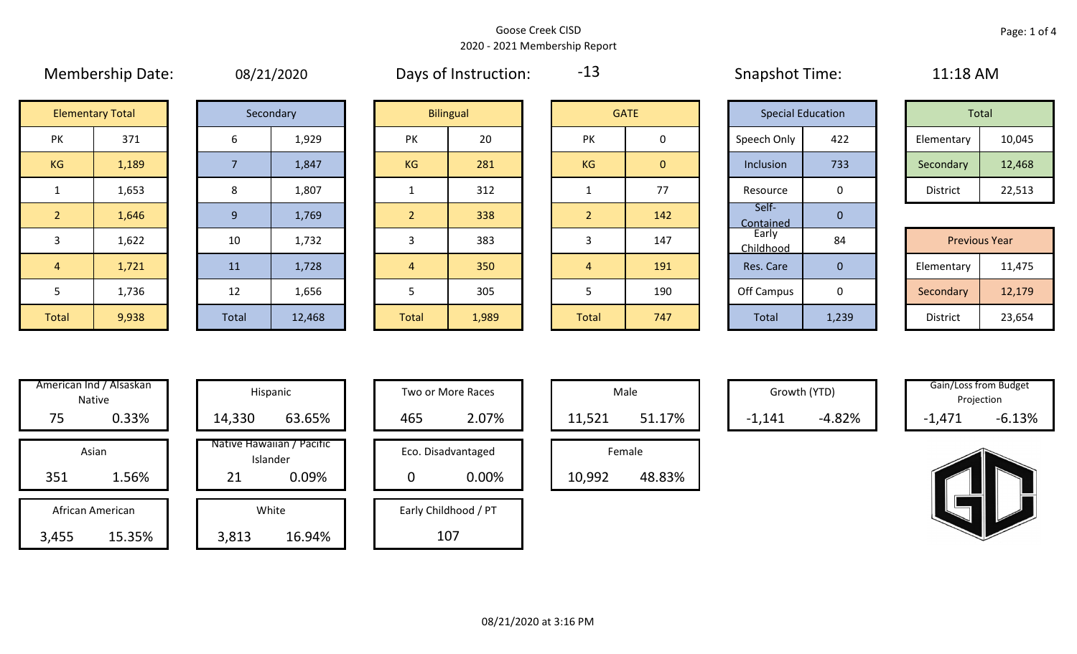Membership Date: 08/21/2020 Snapshot Time: 11:18 AM Days of Instruction:

2 1,646 9 1,769 2 338 2 2 142 3

-13

Self-

Contained <sup>0</sup> <45

|                    | <b>Elementary Total</b> |  | Secondary |           | <b>Bilingual</b> |  |           | <b>GATE</b> | <b>Special Education</b> |     | Total      |        |
|--------------------|-------------------------|--|-----------|-----------|------------------|--|-----------|-------------|--------------------------|-----|------------|--------|
| שנ<br>$\mathbf{N}$ | 371                     |  | 1,929     | 20<br>PK  |                  |  | PK        |             | Speech Only              | 422 | Elementary | 10,045 |
| G                  | 1,189                   |  | 1,847     | <b>KG</b> | 281              |  | <b>KG</b> | 0           | Inclusion                | 733 | Secondary  | 12,468 |
|                    | 1,653                   |  | 1,807     |           | 312              |  | 77        |             | Resource<br>0            |     | District   | 22,513 |

|       |       |          |        |              |       |       |     | ___________       |       |                      |        |
|-------|-------|----------|--------|--------------|-------|-------|-----|-------------------|-------|----------------------|--------|
| 3     | 1,622 | 10       | 1,732  |              | 383   |       | 147 | Early<br>hildhood | 84    | <b>Previous Year</b> |        |
| 4     | 1,721 | 11       | 1,728  |              | 350   |       | 191 | Res. Care         |       | Elementary           | 11,475 |
|       | 1,736 | 12<br>∸∸ | 1,656  |              | 305   |       | 190 | Off Campus        |       | Secondary            | 12,179 |
| Total | 9,938 | Total    | 12,468 | <b>Total</b> | 1,989 | Total | 747 | Total             | 1,239 | District             | 23,654 |

| Hispani                    | American Ind / Alsaskan<br><b>Native</b> |       |
|----------------------------|------------------------------------------|-------|
| 14,330                     | 0.33%                                    | 75    |
| Native Hawaiiai<br>Islande | Asian                                    |       |
| 21                         | 1.56%                                    | 351   |
| White                      | African American                         |       |
| 3,813                      | 15.35%                                   | 3,455 |

|       | \merican Ind / Alsaskan<br>Native |        | Hispanic                              |             | Two or More Races    | Male   |        | Growth (YTD) |          | Gain/Loss from Budget<br>Projection |          |
|-------|-----------------------------------|--------|---------------------------------------|-------------|----------------------|--------|--------|--------------|----------|-------------------------------------|----------|
| 75    | 0.33%                             | 14,330 | 63.65%                                | 465         | 2.07%                | 11,521 | 51.17% | $-1,141$     | $-4.82%$ | $-1,471$                            | $-6.13%$ |
|       | Asian                             |        | Native Hawaiian / Pacific<br>Islander |             | Eco. Disadvantaged   | Female |        |              |          |                                     |          |
| 351   | 1.56%                             | 21     | 0.09%                                 | $\mathbf 0$ | 0.00%                | 10,992 | 48.83% |              |          |                                     |          |
|       | African American                  |        | White                                 |             | Early Childhood / PT |        |        |              |          |                                     |          |
| 3,455 | 15.35%                            | 3,813  | 16.94%                                |             | 107                  |        |        |              |          |                                     |          |

| Hispanic                                |     | Two or More Races           |        | Male   |
|-----------------------------------------|-----|-----------------------------|--------|--------|
| 63.65%                                  | 465 | 2.07%                       | 11,521 |        |
| lawaiian / Pacific<br>Islander<br>0.09% |     | Eco. Disadvantaged<br>0.00% | 10,992 | Female |
| White                                   |     | Early Childhood / PT        |        |        |

|                  | Male   |  |  |  |  |  |  |  |  |
|------------------|--------|--|--|--|--|--|--|--|--|
| 51.17%<br>11,521 |        |  |  |  |  |  |  |  |  |
|                  | Female |  |  |  |  |  |  |  |  |
| 48.83%<br>10,992 |        |  |  |  |  |  |  |  |  |

Growth (YTD) Gain/Loss from Budget Projection

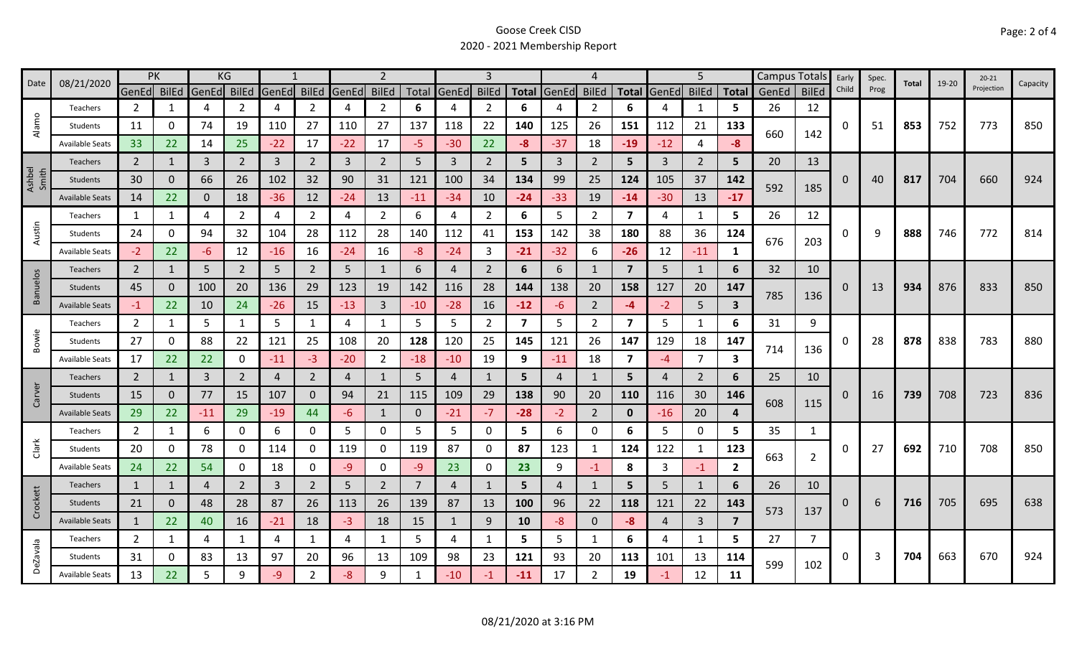|                 | 08/21/2020             | <b>PK</b>      |          |                | KG             |                |                |       | $\mathcal{P}$  |          |              |                |       |                | 4              |                         |                | 5              |                         |       | Campus Totals  | Early    | Spec. | Total | 19-20 | $20 - 21$  |          |
|-----------------|------------------------|----------------|----------|----------------|----------------|----------------|----------------|-------|----------------|----------|--------------|----------------|-------|----------------|----------------|-------------------------|----------------|----------------|-------------------------|-------|----------------|----------|-------|-------|-------|------------|----------|
| Date            |                        | GenEd BilEd    |          | GenEd BilEd    |                | GenEd          | <b>BilEd</b>   | GenEd | <b>BilEd</b>   |          | Total GenEd  | <b>BilEd</b>   |       | Total GenEd    | <b>BilEd</b>   | <b>Total</b>            | GenEd BilEd    |                | <b>Total</b>            | GenEd | <b>BilEd</b>   | Child    | Prog  |       |       | Projection | Capacity |
|                 | Teachers               | $\overline{2}$ | 1        | 4              | 2              | 4              | $\overline{2}$ | 4     | $\overline{2}$ | 6        | 4            | 2              | 6     |                | 2              | 6                       |                | 1              | 5.                      | 26    | 12             |          |       |       |       |            |          |
| Alamo           | Students               | 11             | 0        | 74             | 19             | 110            | 27             | 110   | 27             | 137      | 118          | 22             | 140   | 125            | 26             | 151                     | 112            | 21             | 133                     | 660   | 142            | O        | 51    | 853   | 752   | 773        | 850      |
|                 | <b>Available Seats</b> | 33             | 22       | 14             | 25             | $-22$          | 17             | $-22$ | 17             | -5       | $-30$        | 22             | $-8$  | $-37$          | 18             | $-19$                   | $-12$          | $\overline{4}$ | -8                      |       |                |          |       |       |       |            |          |
|                 | <b>Teachers</b>        | $\overline{2}$ |          | $\overline{3}$ | $\overline{2}$ | $\overline{3}$ | $\overline{2}$ | 3     | $\overline{2}$ | 5        | 3            | $\overline{2}$ | 5     | $\mathbf{3}$   | 2              | 5                       | $\overline{3}$ | $\overline{2}$ | 5                       | 20    | 13             |          |       |       |       |            |          |
| Ashbel<br>Smith | Students               | 30             | 0        | 66             | 26             | 102            | 32             | 90    | 31             | 121      | 100          | 34             | 134   | 99             | 25             | 124                     | 105            | 37             | 142                     |       |                | $\Omega$ | 40    | 817   | 704   | 660        | 924      |
|                 | <b>Available Seats</b> | 14             | 22       | $\mathbf 0$    | 18             | $-36$          | 12             | $-24$ | 13             | $-11$    | $-34$        | 10             | $-24$ | $-33$          | 19             | $-14$                   | $-30$          | 13             | $-17$                   | 592   | 185            |          |       |       |       |            |          |
|                 | Teachers               | 1              | 1        | 4              | 2              | 4              | $\overline{2}$ | 4     | $\overline{2}$ | 6        | 4            | $\overline{2}$ | 6     | 5.             | $\overline{2}$ | $\overline{\mathbf{z}}$ | 4              | 1              | 5                       | 26    | 12             |          |       |       |       |            |          |
| Austin          | Students               | 24             | 0        | 94             | 32             | 104            | 28             | 112   | 28             | 140      | 112          | 41             | 153   | 142            | 38             | 180                     | 88             | 36             | 124                     | 676   |                | 0        | 9     | 888   | 746   | 772        | 814      |
|                 | <b>Available Seats</b> | $-2$           | 22       | $-6$           | 12             | $-16$          | 16             | $-24$ | 16             | $-8$     | $-24$        | 3              | $-21$ | $-32$          | 6              | $-26$                   | 12             | $-11$          | 1                       |       | 203            |          |       |       |       |            |          |
|                 | <b>Teachers</b>        | $\overline{2}$ | 1        | 5              | $\overline{2}$ | 5              | $\overline{2}$ | 5     | 1              | 6        | 4            | $\overline{2}$ | 6     | 6              | -1             | $\overline{7}$          | 5              | 1              | 6                       | 32    | 10             |          |       |       |       |            |          |
| <b>Banuelos</b> | Students               | 45             | $\Omega$ | 100            | 20             | 136            | 29             | 123   | 19             | 142      | 116          | 28             | 144   | 138            | 20             | 158                     | 127            | 20             | 147                     |       |                | 0        | 13    | 934   | 876   | 833        | 850      |
|                 | <b>Available Seats</b> | $-1$           | 22       | 10             | 24             | $-26$          | 15             | $-13$ | $\overline{3}$ | $-10$    | $-28$        | 16             | $-12$ | -6             | $\overline{2}$ | -4                      | $-2$           | 5              | $\overline{\mathbf{3}}$ | 785   | 136            |          |       |       |       |            |          |
|                 | Teachers               | $\overline{2}$ | 1        | 5              | $\mathbf{1}$   | 5              | $\mathbf{1}$   | 4     | $\mathbf{1}$   | 5        | 5            | $\overline{2}$ | 7     | 5              | $\overline{2}$ | $\overline{\mathbf{z}}$ | 5              | $\mathbf{1}$   | 6                       | 31    | 9              |          |       |       |       |            |          |
| Bowie           | Students               | 27             | 0        | 88             | 22             | 121            | 25             | 108   | 20             | 128      | 120          | 25             | 145   | 121            | 26             | 147                     | 129            | 18             | 147                     |       |                | 0        | 28    | 878   | 838   | 783        | 880      |
|                 | <b>Available Seats</b> | 17             | 22       | 22             | 0              | $-11$          | $-3$           | $-20$ | $\overline{2}$ | $-18$    | $-10$        | 19             | 9     | $-11$          | 18             | $\overline{\mathbf{z}}$ | -4             | $\overline{7}$ | 3                       | 714   | 136            |          |       |       |       |            |          |
|                 | Teachers               | $\overline{2}$ | 1        | 3              | $\overline{2}$ | $\overline{4}$ | $\overline{2}$ | 4     | 1              | 5        | 4            |                | 5     | 4              | 1              | 5                       | 4              | 2              | 6                       | 25    | 10             |          |       |       |       |            |          |
| Carver          | <b>Students</b>        | 15             | 0        | 77             | 15             | 107            | $\mathbf{0}$   | 94    | 21             | 115      | 109          | 29             | 138   | 90             | 20             | 110                     | 116            | 30             | 146                     | 608   |                | 0        | 16    | 739   | 708   | 723        | 836      |
|                 | <b>Available Seats</b> | 29             | 22       | $-11$          | 29             | $-19$          | 44             | -6    | $\mathbf{1}$   | $\Omega$ | $-21$        | $-7$           | $-28$ | $-2$           | $\overline{2}$ | $\mathbf{0}$            | $-16$          | 20             | 4                       |       | 115            |          |       |       |       |            |          |
|                 | Teachers               | $\overline{2}$ | 1        | 6              | 0              | 6              | 0              | 5     | 0              | 5        | 5            | 0              | 5     | 6              | 0              | 6                       | 5              | $\mathbf 0$    | 5.                      | 35    | 1              |          |       |       |       |            |          |
| Clark           | Students               | 20             | 0        | 78             | 0              | 114            | $\mathbf{0}$   | 119   | 0              | 119      | 87           | 0              | 87    | 123            | $\mathbf{1}$   | 124                     | 122            | 1              | 123                     | 663   |                | 0        | 27    | 692   | 710   | 708        | 850      |
|                 | <b>Available Seats</b> | 24             | 22       | 54             | 0              | 18             | 0              | -9    | $\mathbf 0$    | -9       | 23           | 0              | 23    | 9              | $-1$           | 8                       | 3              | $-1$           | $\overline{2}$          |       | $\overline{2}$ |          |       |       |       |            |          |
|                 | Teachers               | $\mathbf{1}$   | 1        | $\overline{4}$ | $\overline{2}$ | 3              | $\overline{2}$ | 5     | $\overline{2}$ | 7        | 4            |                | 5     | $\overline{4}$ | $\mathbf{1}$   | 5                       | 5              | $\mathbf{1}$   | 6                       | 26    | 10             |          |       |       |       |            |          |
| Crockett        | Students               | 21             | 0        | 48             | 28             | 87             | 26             | 113   | 26             | 139      | 87           | 13             | 100   | 96             | 22             | 118                     | 121            | 22             | 143                     | 573   |                | 0        | 6     | 716   | 705   | 695        | 638      |
|                 | <b>Available Seats</b> | 1              | 22       | 40             | 16             | $-21$          | 18             | $-3$  | 18             | 15       | $\mathbf{1}$ | 9              | 10    | -8             | $\mathbf{0}$   | -8                      | $\overline{4}$ | $\overline{3}$ | $\overline{7}$          |       | 137            |          |       |       |       |            |          |
|                 | Teachers               | $\overline{2}$ | 1        | 4              | 1              | 4              | $\mathbf{1}$   | 4     | 1              | 5.       | 4            | 1              | 5     | 5              | -1             | 6                       | 4              | 1              | 5.                      | 27    | 7              |          |       |       |       |            |          |
| <b>DeZavala</b> | Students               | 31             | 0        | 83             | 13             | 97             | 20             | 96    | 13             | 109      | 98           | 23             | 121   | 93             | 20             | 113                     | 101            | 13             | 114                     | 599   | 102            | 0        | 3     | 704   | 663   | 670        | 924      |
|                 | <b>Available Seats</b> | 13             | 22       | .5             | 9              | -9             | 2              | -8    | 9              |          | $-10$        |                | $-11$ | 17             | 2              | 19                      | -1             | 12             | 11                      |       |                |          |       |       |       |            |          |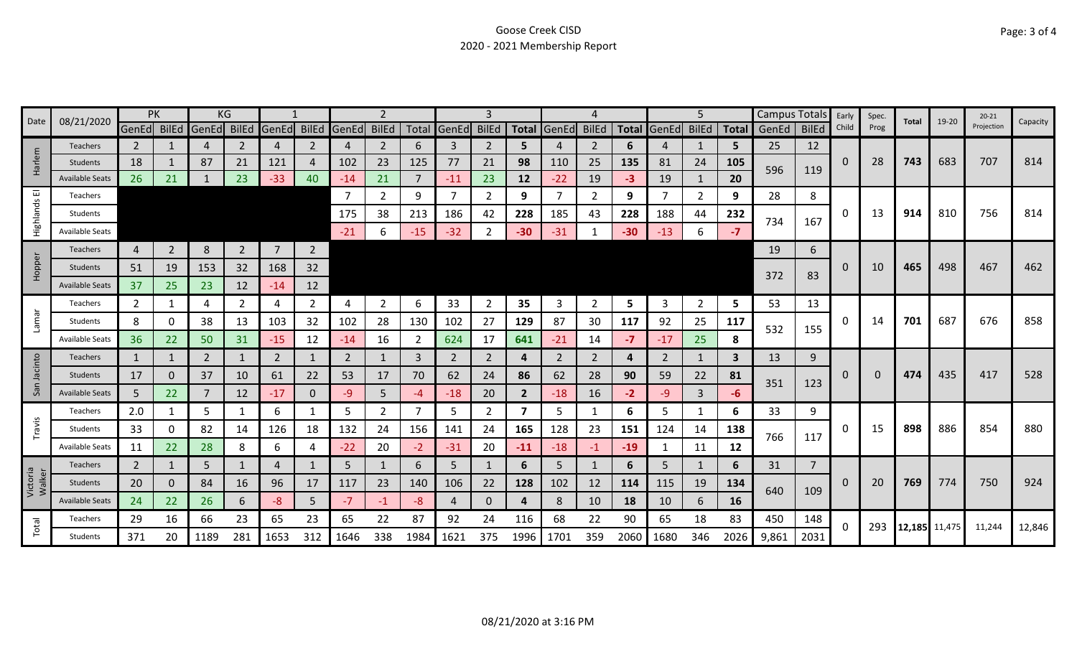|                    |                        |                | PK             | KG    |              |                |                |             |                |       |                | З              |                |       |                |              |                | 5              |              | <b>Campus Totals</b> |                | Early       | Spec.    |               | 19-20 | $20 - 21$  |          |
|--------------------|------------------------|----------------|----------------|-------|--------------|----------------|----------------|-------------|----------------|-------|----------------|----------------|----------------|-------|----------------|--------------|----------------|----------------|--------------|----------------------|----------------|-------------|----------|---------------|-------|------------|----------|
| Date               | 08/21/2020             | GenEd BilEd    |                | GenEd | <b>BilEd</b> | GenEd BilEd    |                | GenEd BilEd |                |       | Total GenEd    | <b>BilEd</b>   | <b>Total</b>   | GenEd | <b>BilEd</b>   | <b>Total</b> | GenEd          | <b>BilEd</b>   |              | Total GenEd          | <b>BilEd</b>   | Child       | Prog     | Total         |       | Projection | Capacity |
|                    | <b>Teachers</b>        | $\overline{2}$ |                | 4     | 2            | 4              | 2              | 4           | $\overline{2}$ | 6     | 3              | 2              | 5.             |       | $\overline{2}$ | 6            | 4              | 1              | 5            | 25                   | 12             |             |          |               |       |            |          |
| Harlem             | Students               | 18             |                | 87    | 21           | 121            | 4              | 102         | 23             | 125   | 77             | 21             | 98             | 110   | 25             | 135          | 81             | 24             | 105          | 596                  | 119            | 0           | 28       | 743           | 683   | 707        | 814      |
|                    | <b>Available Seats</b> | 26             | 21             |       | 23           | $-33$          | 40             | $-14$       | 21             |       | $-11$          | 23             | 12             | $-22$ | 19             | -3           | 19             | $\mathbf{1}$   | 20           |                      |                |             |          |               |       |            |          |
| 画                  | Teachers               |                |                |       |              |                |                |             | $\overline{2}$ | 9     | 7              | 2              | 9              |       | 2              | 9            |                | 2              | 9            | 28                   | 8              |             |          |               |       |            |          |
| Highlands          | Students               |                |                |       |              |                |                | 175         | 38             | 213   | 186            | 42             | 228            | 185   | 43             | 228          | 188            | 44             | 232          | 734                  | 167            | 0           | 13       | 914           | 810   | 756        | 814      |
|                    | <b>Available Seats</b> |                |                |       |              |                |                | $-21$       | 6              | $-15$ | $-32$          |                | $-30$          | $-31$ |                | $-30$        | $-13$          | 6              | $-7$         |                      |                |             |          |               |       |            |          |
|                    | <b>Teachers</b>        | 4              | $\overline{2}$ | 8     | $2^{\circ}$  | $\overline{7}$ | $2^{\circ}$    |             |                |       |                |                |                |       |                |              |                |                |              | 19                   | 6              |             |          |               |       |            |          |
| Hopper             | Students               | 51             | 19             | 153   | 32           | 168            | 32             |             |                |       |                |                |                |       |                |              |                |                |              |                      |                | 0           | 10       | 465           | 498   | 467        | 462      |
|                    | <b>Available Seats</b> | 37             | 25             | 23    | 12           | $-14$          | 12             |             |                |       |                |                |                |       |                |              |                |                |              | 372                  | 83             |             |          |               |       |            |          |
|                    | Teachers               | $\overline{2}$ | 1              | 4     | $\mathbf{2}$ | 4              | $\overline{2}$ | 4           | $\overline{2}$ | 6     | 33             | 2              | 35             | 3     | $\overline{2}$ | 5            | 3              | $\overline{2}$ | 5            | 53                   | 13             |             |          |               |       |            |          |
| Lamar              | Students               | 8              | 0              | 38    | 13           | 103            | 32             | 102         | 28             | 130   | 102            | 27             | 129            | 87    | 30             | 117          | 92             | 25             | 117          |                      |                | 0           | 14       | 701           | 687   | 676        | 858      |
|                    | Available Seats        | 36             | 22             | 50    | 31           | $-15$          | 12             | $-14$       | 16             | 2     | 624            | 17             | 641            | $-21$ | 14             | $-7$         | $-17$          | 25             | 8            | 532                  | 155            |             |          |               |       |            |          |
|                    | Teachers               | 1              | 1              | 2     |              | 2              | 1              | 2           | 1              | 3     | 2              | 2              | 4              | 2     | 2              | 4            | $\overline{2}$ | $\mathbf{1}$   | $\mathbf{3}$ | 13                   | 9              |             |          |               |       |            |          |
| Jacinto            | Students               | 17             | $\Omega$       | 37    | 10           | 61             | 22             | 53          | 17             | 70    | 62             | 24             | 86             | 62    | 28             | 90           | 59             | 22             | 81           |                      |                | $\mathbf 0$ | $\Omega$ | 474           | 435   | 417        | 528      |
| San                | <b>Available Seats</b> | 5              | 22             | 7     | 12           | $-17$          | $\Omega$       | -9          | 5              | -4    | $-18$          | 20             | $\overline{2}$ | $-18$ | 16             | $-2$         | $-9$           | 3              | -6           | 351                  | 123            |             |          |               |       |            |          |
|                    | <b>Teachers</b>        | 2.0            | 1              | 5     |              | 6              | 1              | 5           | $\overline{2}$ | 7     | 5              | $\overline{2}$ | 7              | 5     | 1              | 6            | 5              | 1              | 6            | 33                   | 9              |             |          |               |       |            |          |
| Travis             | Students               | 33             | 0              | 82    | 14           | 126            | 18             | 132         | 24             | 156   | 141            | 24             | 165            | 128   | 23             | 151          | 124            | 14             | 138          |                      |                | 0           | 15       | 898           | 886   | 854        | 880      |
|                    | Available Seats        | 11             | 22             | 28    | 8            | 6              | 4              | $-22$       | 20             | $-2$  | $-31$          | 20             | $-11$          | $-18$ | $-1$           | $-19$        |                | 11             | 12           | 766                  | 117            |             |          |               |       |            |          |
|                    | <b>Teachers</b>        | $\overline{2}$ |                | 5     |              | 4              |                | 5           |                | 6     | 5              |                | 6              | 5     | 1              | 6            | 5              | 1              | 6            | 31                   | $\overline{7}$ |             |          |               |       |            |          |
| Victoria<br>Walker | Students               | 20             | 0              | 84    | 16           | 96             | 17             | 117         | 23             | 140   | 106            | 22             | 128            | 102   | 12             | 114          | 115            | 19             | 134          |                      |                | $\mathbf 0$ | 20       | 769           | 774   | 750        | 924      |
|                    | <b>Available Seats</b> | 24             | 22             | 26    | 6            | -8             | 5              | $-7$        | $-1$           | -8    | $\overline{4}$ | 0              | 4              | 8     | 10             | 18           | 10             | 6              | 16           | 640                  | 109            |             |          |               |       |            |          |
|                    | Teachers               | 29             | 16             | 66    | 23           | 65             | 23             | 65          | 22             | 87    | 92             | 24             | 116            | 68    | 22             | 90           | 65             | 18             | 83           | 450                  | 148            |             |          |               |       |            |          |
| Total              | Students               | 371            |                | 1189  | 281          | 1653           | 312            | 1646        | 338            | 1984  | 1621           | 375            | 1996           | 1701  | 359            | 2060         | 1680           | 346            | 2026         | 9,861                | 2031           | 0           | 293      | 12,185 11,475 |       | 11,244     | 12,846   |